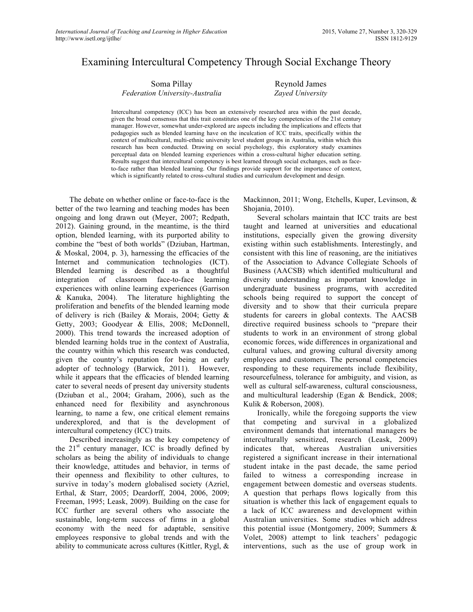# Examining Intercultural Competency Through Social Exchange Theory

Soma Pillay *Federation University-Australia*

Reynold James *Zayed University*

Intercultural competency (ICC) has been an extensively researched area within the past decade, given the broad consensus that this trait constitutes one of the key competencies of the 21st century manager. However, somewhat under-explored are aspects including the implications and effects that pedagogies such as blended learning have on the inculcation of ICC traits, specifically within the context of multicultural, multi-ethnic university level student groups in Australia, within which this research has been conducted. Drawing on social psychology, this exploratory study examines perceptual data on blended learning experiences within a cross-cultural higher education setting. Results suggest that intercultural competency is best learned through social exchanges, such as faceto-face rather than blended learning. Our findings provide support for the importance of context, which is significantly related to cross-cultural studies and curriculum development and design.

The debate on whether online or face-to-face is the better of the two learning and teaching modes has been ongoing and long drawn out (Meyer, 2007; Redpath, 2012). Gaining ground, in the meantime, is the third option, blended learning, with its purported ability to combine the "best of both worlds" (Dziuban, Hartman, & Moskal, 2004, p. 3), harnessing the efficacies of the Internet and communication technologies (ICT). Blended learning is described as a thoughtful integration of classroom face-to-face learning experiences with online learning experiences (Garrison & Kanuka, 2004). The literature highlighting the proliferation and benefits of the blended learning mode of delivery is rich (Bailey & Morais, 2004; Getty & Getty, 2003; Goodyear & Ellis, 2008; McDonnell, 2000). This trend towards the increased adoption of blended learning holds true in the context of Australia, the country within which this research was conducted, given the country's reputation for being an early adopter of technology (Barwick, 2011). However, while it appears that the efficacies of blended learning cater to several needs of present day university students (Dziuban et al., 2004; Graham, 2006), such as the enhanced need for flexibility and asynchronous learning, to name a few, one critical element remains underexplored, and that is the development of intercultural competency (ICC) traits.

Described increasingly as the key competency of the  $21<sup>st</sup>$  century manager, ICC is broadly defined by scholars as being the ability of individuals to change their knowledge, attitudes and behavior, in terms of their openness and flexibility to other cultures, to survive in today's modern globalised society (Azriel, Erthal, & Starr, 2005; Deardorff, 2004, 2006, 2009; Freeman, 1995; Leask, 2009). Building on the case for ICC further are several others who associate the sustainable, long-term success of firms in a global economy with the need for adaptable, sensitive employees responsive to global trends and with the ability to communicate across cultures (Kittler, Rygl, &

Mackinnon, 2011; Wong, Etchells, Kuper, Levinson, & Shojania, 2010).

Several scholars maintain that ICC traits are best taught and learned at universities and educational institutions, especially given the growing diversity existing within such establishments. Interestingly, and consistent with this line of reasoning, are the initiatives of the Association to Advance Collegiate Schools of Business (AACSB) which identified multicultural and diversity understanding as important knowledge in undergraduate business programs, with accredited schools being required to support the concept of diversity and to show that their curricula prepare students for careers in global contexts. The AACSB directive required business schools to "prepare their students to work in an environment of strong global economic forces, wide differences in organizational and cultural values, and growing cultural diversity among employees and customers. The personal competencies responding to these requirements include flexibility, resourcefulness, tolerance for ambiguity, and vision, as well as cultural self-awareness, cultural consciousness, and multicultural leadership (Egan & Bendick, 2008; Kulik & Roberson, 2008).

Ironically, while the foregoing supports the view that competing and survival in a globalized environment demands that international managers be interculturally sensitized, research (Leask, 2009) indicates that, whereas Australian universities registered a significant increase in their international student intake in the past decade, the same period failed to witness a corresponding increase in engagement between domestic and overseas students. A question that perhaps flows logically from this situation is whether this lack of engagement equals to a lack of ICC awareness and development within Australian universities. Some studies which address this potential issue (Montgomery, 2009; Summers & Volet, 2008) attempt to link teachers' pedagogic interventions, such as the use of group work in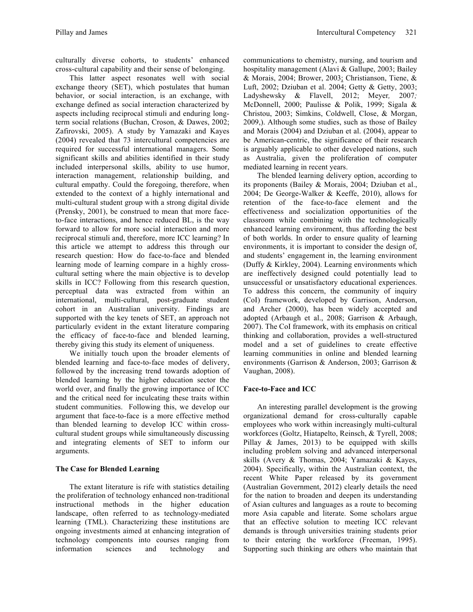culturally diverse cohorts, to students' enhanced cross-cultural capability and their sense of belonging.

This latter aspect resonates well with social exchange theory (SET), which postulates that human behavior, or social interaction, is an exchange, with exchange defined as social interaction characterized by aspects including reciprocal stimuli and enduring longterm social relations (Buchan, Croson, & Dawes, 2002; Zafirovski, 2005). A study by Yamazaki and Kayes (2004) revealed that 73 intercultural competencies are required for successful international managers. Some significant skills and abilities identified in their study included interpersonal skills, ability to use humor, interaction management, relationship building, and cultural empathy. Could the foregoing, therefore, when extended to the context of a highly international and multi-cultural student group with a strong digital divide (Prensky, 2001), be construed to mean that more faceto-face interactions, and hence reduced BL, is the way forward to allow for more social interaction and more reciprocal stimuli and, therefore, more ICC learning? In this article we attempt to address this through our research question: How do face-to-face and blended learning mode of learning compare in a highly crosscultural setting where the main objective is to develop skills in ICC? Following from this research question, perceptual data was extracted from within an international, multi-cultural, post-graduate student cohort in an Australian university. Findings are supported with the key tenets of SET, an approach not particularly evident in the extant literature comparing the efficacy of face-to-face and blended learning, thereby giving this study its element of uniqueness.

We initially touch upon the broader elements of blended learning and face-to-face modes of delivery, followed by the increasing trend towards adoption of blended learning by the higher education sector the world over, and finally the growing importance of ICC and the critical need for inculcating these traits within student communities. Following this, we develop our argument that face-to-face is a more effective method than blended learning to develop ICC within crosscultural student groups while simultaneously discussing and integrating elements of SET to inform our arguments.

## **The Case for Blended Learning**

The extant literature is rife with statistics detailing the proliferation of technology enhanced non-traditional instructional methods in the higher education landscape, often referred to as technology-mediated learning (TML). Characterizing these institutions are ongoing investments aimed at enhancing integration of technology components into courses ranging from information sciences and technology and communications to chemistry, nursing, and tourism and hospitality management (Alavi & Gallupe, 2003; Bailey & Morais, 2004; Brower, 2003; Christianson, Tiene, & Luft, 2002; Dziuban et al. 2004; Getty & Getty, 2003; Ladyshewsky & Flavell, 2012; Meyer*,* 2007*;* McDonnell, 2000; Paulisse & Polik, 1999; Sigala & Christou, 2003; Simkins, Coldwell, Close, & Morgan, 2009,). Although some studies, such as those of Bailey and Morais (2004) and Dziuban et al. (2004), appear to be American-centric, the significance of their research is arguably applicable to other developed nations, such as Australia, given the proliferation of computer mediated learning in recent years.

The blended learning delivery option, according to its proponents (Bailey & Morais, 2004; Dziuban et al., 2004; De George-Walker & Keeffe, 2010), allows for retention of the face-to-face element and the effectiveness and socialization opportunities of the classroom while combining with the technologically enhanced learning environment, thus affording the best of both worlds. In order to ensure quality of learning environments, it is important to consider the design of, and students' engagement in, the learning environment (Duffy & Kirkley, 2004). Learning environments which are ineffectively designed could potentially lead to unsuccessful or unsatisfactory educational experiences. To address this concern, the community of inquiry (CoI) framework, developed by Garrison, Anderson, and Archer (2000), has been widely accepted and adopted (Arbaugh et al., 2008; Garrison & Arbaugh, 2007). The CoI framework, with its emphasis on critical thinking and collaboration, provides a well-structured model and a set of guidelines to create effective learning communities in online and blended learning environments (Garrison & Anderson, 2003; Garrison & Vaughan, 2008).

## **Face-to-Face and ICC**

An interesting parallel development is the growing organizational demand for cross-culturally capable employees who work within increasingly multi-cultural workforces (Goltz, Hiatapelto, Reinsch, & Tyrell, 2008; Pillay & James, 2013) to be equipped with skills including problem solving and advanced interpersonal skills (Avery & Thomas, 2004; Yamazaki & Kayes, 2004). Specifically, within the Australian context, the recent White Paper released by its government (Australian Government, 2012) clearly details the need for the nation to broaden and deepen its understanding of Asian cultures and languages as a route to becoming more Asia capable and literate. Some scholars argue that an effective solution to meeting ICC relevant demands is through universities training students prior to their entering the workforce (Freeman, 1995). Supporting such thinking are others who maintain that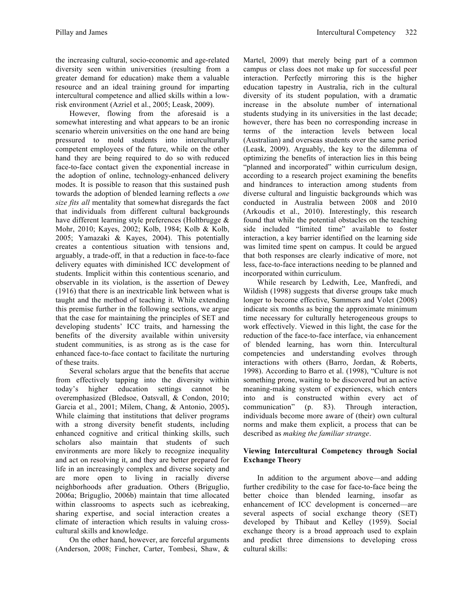the increasing cultural, socio-economic and age-related diversity seen within universities (resulting from a greater demand for education) make them a valuable resource and an ideal training ground for imparting intercultural competence and allied skills within a lowrisk environment (Azriel et al., 2005; Leask, 2009).

However, flowing from the aforesaid is a somewhat interesting and what appears to be an ironic scenario wherein universities on the one hand are being pressured to mold students into interculturally competent employees of the future, while on the other hand they are being required to do so with reduced face-to-face contact given the exponential increase in the adoption of online, technology-enhanced delivery modes. It is possible to reason that this sustained push towards the adoption of blended learning reflects a *one size fits all* mentality that somewhat disregards the fact that individuals from different cultural backgrounds have different learning style preferences (Holtbrugge & Mohr, 2010; Kayes, 2002; Kolb, 1984; Kolb & Kolb, 2005; Yamazaki & Kayes, 2004). This potentially creates a contentious situation with tensions and, arguably, a trade-off, in that a reduction in face-to-face delivery equates with diminished ICC development of students. Implicit within this contentious scenario, and observable in its violation, is the assertion of Dewey (1916) that there is an inextricable link between what is taught and the method of teaching it. While extending this premise further in the following sections, we argue that the case for maintaining the principles of SET and developing students' ICC traits, and harnessing the benefits of the diversity available within university student communities, is as strong as is the case for enhanced face-to-face contact to facilitate the nurturing of these traits.

Several scholars argue that the benefits that accrue from effectively tapping into the diversity within today's higher education settings cannot be overemphasized (Bledsoe, Oatsvall, & Condon, 2010; Garcia et al., 2001; Milem, Chang, & Antonio, 2005)**.** While claiming that institutions that deliver programs with a strong diversity benefit students, including enhanced cognitive and critical thinking skills, such scholars also maintain that students of such environments are more likely to recognize inequality and act on resolving it, and they are better prepared for life in an increasingly complex and diverse society and are more open to living in racially diverse neighborhoods after graduation. Others (Briguglio, 2006a; Briguglio, 2006b) maintain that time allocated within classrooms to aspects such as icebreaking, sharing expertise, and social interaction creates a climate of interaction which results in valuing crosscultural skills and knowledge.

On the other hand, however, are forceful arguments (Anderson, 2008; Fincher, Carter, Tombesi, Shaw, &

Martel, 2009) that merely being part of a common campus or class does not make up for successful peer interaction. Perfectly mirroring this is the higher education tapestry in Australia, rich in the cultural diversity of its student population, with a dramatic increase in the absolute number of international students studying in its universities in the last decade; however, there has been no corresponding increase in terms of the interaction levels between local (Australian) and overseas students over the same period (Leask, 2009). Arguably, the key to the dilemma of optimizing the benefits of interaction lies in this being "planned and incorporated" within curriculum design, according to a research project examining the benefits and hindrances to interaction among students from diverse cultural and linguistic backgrounds which was conducted in Australia between 2008 and 2010 (Arkoudis et al., 2010). Interestingly, this research found that while the potential obstacles on the teaching side included "limited time" available to foster interaction, a key barrier identified on the learning side was limited time spent on campus. It could be argued that both responses are clearly indicative of more, not less, face-to-face interactions needing to be planned and incorporated within curriculum.

While research by Ledwith, Lee, Manfredi, and Wildish (1998) suggests that diverse groups take much longer to become effective, Summers and Volet (2008) indicate six months as being the approximate minimum time necessary for culturally heterogeneous groups to work effectively. Viewed in this light, the case for the reduction of the face-to-face interface, via enhancement of blended learning, has worn thin. Intercultural competencies and understanding evolves through interactions with others (Barro, Jordan, & Roberts, 1998). According to Barro et al. (1998), "Culture is not something prone, waiting to be discovered but an active meaning-making system of experiences, which enters into and is constructed within every act of communication" (p. 83). Through interaction,  $(p. 83)$ . Through interaction, individuals become more aware of (their) own cultural norms and make them explicit, a process that can be described as *making the familiar strange*.

## **Viewing Intercultural Competency through Social Exchange Theory**

In addition to the argument above—and adding further credibility to the case for face-to-face being the better choice than blended learning, insofar as enhancement of ICC development is concerned—are several aspects of social exchange theory (SET) developed by Thibaut and Kelley (1959). Social exchange theory is a broad approach used to explain and predict three dimensions to developing cross cultural skills: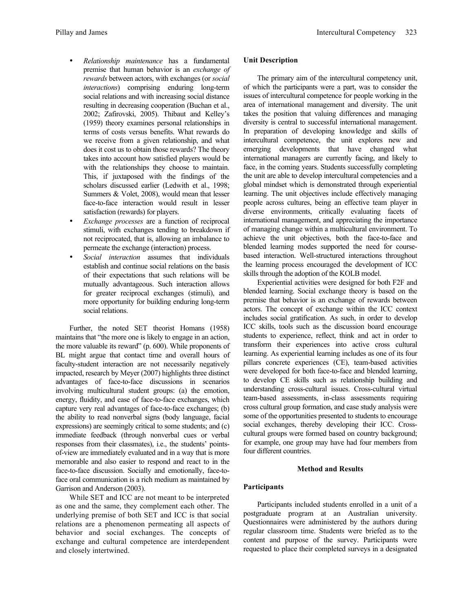- *Relationship maintenance* has a fundamental premise that human behavior is an *exchange of rewards* between actors, with exchanges (or *social interactions*) comprising enduring long-term social relations and with increasing social distance resulting in decreasing cooperation (Buchan et al., 2002; Zafirovski, 2005). Thibaut and Kelley's (1959) theory examines personal relationships in terms of costs versus benefits. What rewards do we receive from a given relationship, and what does it cost us to obtain those rewards? The theory takes into account how satisfied players would be with the relationships they choose to maintain. This, if juxtaposed with the findings of the scholars discussed earlier (Ledwith et al., 1998; Summers & Volet, 2008), would mean that lesser face-to-face interaction would result in lesser satisfaction (rewards) for players.
- *Exchange processes* are a function of reciprocal stimuli, with exchanges tending to breakdown if not reciprocated, that is, allowing an imbalance to permeate the exchange (interaction) process.
- *Social interaction* assumes that individuals establish and continue social relations on the basis of their expectations that such relations will be mutually advantageous. Such interaction allows for greater reciprocal exchanges (stimuli), and more opportunity for building enduring long-term social relations.

Further, the noted SET theorist Homans (1958) maintains that "the more one is likely to engage in an action, the more valuable its reward" (p. 600). While proponents of BL might argue that contact time and overall hours of faculty-student interaction are not necessarily negatively impacted, research by Meyer (2007) highlights three distinct advantages of face-to-face discussions in scenarios involving multicultural student groups: (a) the emotion, energy, fluidity, and ease of face-to-face exchanges, which capture very real advantages of face-to-face exchanges; (b) the ability to read nonverbal signs (body language, facial expressions) are seemingly critical to some students; and (c) immediate feedback (through nonverbal cues or verbal responses from their classmates), i.e., the students' pointsof-view are immediately evaluated and in a way that is more memorable and also easier to respond and react to in the face-to-face discussion. Socially and emotionally, face-toface oral communication is a rich medium as maintained by Garrison and Anderson (2003).

While SET and ICC are not meant to be interpreted as one and the same, they complement each other. The underlying premise of both SET and ICC is that social relations are a phenomenon permeating all aspects of behavior and social exchanges. The concepts of exchange and cultural competence are interdependent and closely intertwined.

## **Unit Description**

The primary aim of the intercultural competency unit, of which the participants were a part, was to consider the issues of intercultural competence for people working in the area of international management and diversity. The unit takes the position that valuing differences and managing diversity is central to successful international management. In preparation of developing knowledge and skills of intercultural competence, the unit explores new and emerging developments that have changed what international managers are currently facing, and likely to face, in the coming years. Students successfully completing the unit are able to develop intercultural competencies and a global mindset which is demonstrated through experiential learning. The unit objectives include effectively managing people across cultures, being an effective team player in diverse environments, critically evaluating facets of international management, and appreciating the importance of managing change within a multicultural environment. To achieve the unit objectives, both the face-to-face and blended learning modes supported the need for coursebased interaction. Well-structured interactions throughout the learning process encouraged the development of ICC skills through the adoption of the KOLB model.

Experiential activities were designed for both F2F and blended learning. Social exchange theory is based on the premise that behavior is an exchange of rewards between actors. The concept of exchange within the ICC context includes social gratification. As such, in order to develop ICC skills, tools such as the discussion board encourage students to experience, reflect, think and act in order to transform their experiences into active cross cultural learning. As experiential learning includes as one of its four pillars concrete experiences (CE), team-based activities were developed for both face-to-face and blended learning, to develop CE skills such as relationship building and understanding cross-cultural issues. Cross-cultural virtual team-based assessments, in-class assessments requiring cross cultural group formation, and case study analysis were some of the opportunities presented to students to encourage social exchanges, thereby developing their ICC. Crosscultural groups were formed based on country background; for example, one group may have had four members from four different countries.

#### **Method and Results**

#### **Participants**

Participants included students enrolled in a unit of a postgraduate program at an Australian university. Questionnaires were administered by the authors during regular classroom time. Students were briefed as to the content and purpose of the survey. Participants were requested to place their completed surveys in a designated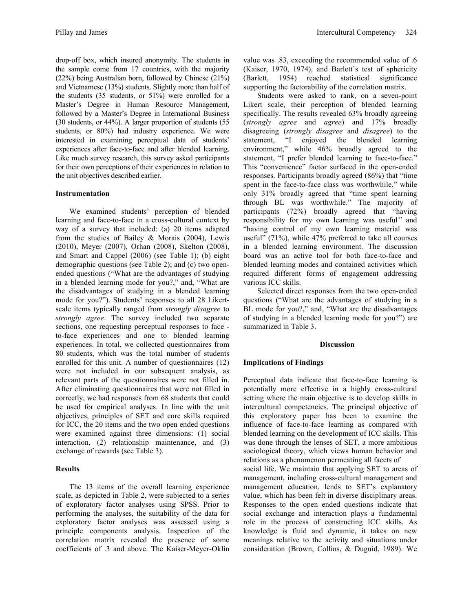drop-off box, which insured anonymity. The students in the sample come from 17 countries, with the majority (22%) being Australian born, followed by Chinese (21%) and Vietnamese (13%) students. Slightly more than half of the students (35 students, or 51%) were enrolled for a Master's Degree in Human Resource Management, followed by a Master's Degree in International Business (30 students, or 44%). A larger proportion of students (55 students, or 80%) had industry experience. We were interested in examining perceptual data of students' experiences after face-to-face and after blended learning. Like much survey research, this survey asked participants for their own perceptions of their experiences in relation to the unit objectives described earlier.

## **Instrumentation**

We examined students' perception of blended learning and face-to-face in a cross-cultural context by way of a survey that included: (a) 20 items adapted from the studies of Bailey & Morais (2004), Lewis (2010), Meyer (2007), Orhan (2008), Skelton (2008), and Smart and Cappel (2006) (see Table 1); (b) eight demographic questions (see Table 2); and (c) two openended questions ("What are the advantages of studying in a blended learning mode for you?," and, "What are the disadvantages of studying in a blended learning mode for you?"). Students' responses to all 28 Likertscale items typically ranged from *strongly disagree* to *strongly agree*. The survey included two separate sections, one requesting perceptual responses to face to-face experiences and one to blended learning experiences. In total, we collected questionnaires from 80 students, which was the total number of students enrolled for this unit. A number of questionnaires (12) were not included in our subsequent analysis, as relevant parts of the questionnaires were not filled in. After eliminating questionnaires that were not filled in correctly, we had responses from 68 students that could be used for empirical analyses. In line with the unit objectives, principles of SET and core skills required for ICC, the 20 items and the two open ended questions were examined against three dimensions: (1) social interaction, (2) relationship maintenance, and (3) exchange of rewards (see Table 3).

## **Results**

The 13 items of the overall learning experience scale, as depicted in Table 2, were subjected to a series of exploratory factor analyses using SPSS. Prior to performing the analyses, the suitability of the data for exploratory factor analyses was assessed using a principle components analysis. Inspection of the correlation matrix revealed the presence of some coefficients of .3 and above. The Kaiser-Meyer-Oklin value was .83, exceeding the recommended value of .6 (Kaiser, 1970, 1974), and Barlett's test of sphericity (Barlett, 1954) reached statistical significance supporting the factorability of the correlation matrix.

Students were asked to rank, on a seven-point Likert scale, their perception of blended learning specifically. The results revealed 63% broadly agreeing (*strongly agree* and *agree*) and 17% broadly disagreeing (*strongly disagree* and *disagree*) to the statement, "I enjoyed the blended learning environment," while 46% broadly agreed to the statement, "I prefer blended learning to face-to-face." This "convenience" factor surfaced in the open-ended responses. Participants broadly agreed (86%) that "time spent in the face-to-face class was worthwhile," while only 31% broadly agreed that "time spent learning through BL was worthwhile." The majority of participants (72%) broadly agreed that "having responsibility for my own learning was useful*"* and "having control of my own learning material was useful" (71%), while 47% preferred to take all courses in a blended learning environment. The discussion board was an active tool for both face-to-face and blended learning modes and contained activities which required different forms of engagement addressing various ICC skills.

Selected direct responses from the two open-ended questions ("What are the advantages of studying in a BL mode for you?," and, "What are the disadvantages of studying in a blended learning mode for you?") are summarized in Table 3.

## **Discussion**

## **Implications of Findings**

Perceptual data indicate that face-to-face learning is potentially more effective in a highly cross-cultural setting where the main objective is to develop skills in intercultural competencies. The principal objective of this exploratory paper has been to examine the influence of face-to-face learning as compared with blended learning on the development of ICC skills. This was done through the lenses of SET, a more ambitious sociological theory, which views human behavior and relations as a phenomenon permeating all facets of social life. We maintain that applying SET to areas of management, including cross-cultural management and management education, lends to SET's explanatory value, which has been felt in diverse disciplinary areas. Responses to the open ended questions indicate that social exchange and interaction plays a fundamental role in the process of constructing ICC skills. As knowledge is fluid and dynamic, it takes on new meanings relative to the activity and situations under consideration (Brown, Collins, & Duguid, 1989). We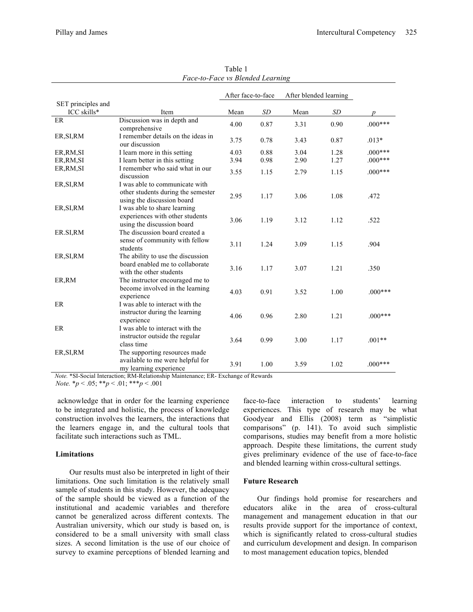|                    |                                                                                                    | After face-to-face |      | After blended learning |      |                  |
|--------------------|----------------------------------------------------------------------------------------------------|--------------------|------|------------------------|------|------------------|
| SET principles and |                                                                                                    |                    |      |                        |      |                  |
| ICC skills*        | Item                                                                                               | Mean               | SD   | Mean                   | SD   | $\boldsymbol{p}$ |
| ER                 | Discussion was in depth and<br>comprehensive                                                       | 4.00               | 0.87 | 3.31                   | 0.90 | $.000***$        |
| ER, SI, RM         | I remember details on the ideas in<br>our discussion                                               | 3.75               | 0.78 | 3.43                   | 0.87 | $.013*$          |
| ER, RM, SI         | I learn more in this setting                                                                       | 4.03               | 0.88 | 3.04                   | 1.28 | $.000***$        |
| ER, RM, SI         | I learn better in this setting                                                                     | 3.94               | 0.98 | 2.90                   | 1.27 | $.000***$        |
| ER, RM, SI         | I remember who said what in our<br>discussion                                                      | 3.55               | 1.15 | 2.79                   | 1.15 | $.000***$        |
| ER, SI, RM         | I was able to communicate with<br>other students during the semester<br>using the discussion board | 2.95               | 1.17 | 3.06                   | 1.08 | .472             |
| ER, SI, RM         | I was able to share learning<br>experiences with other students<br>using the discussion board      | 3.06               | 1.19 | 3.12                   | 1.12 | .522             |
| ER.SI,RM           | The discussion board created a<br>sense of community with fellow<br>students                       | 3.11               | 1.24 | 3.09                   | 1.15 | .904             |
| ER, SI, RM         | The ability to use the discussion<br>board enabled me to collaborate<br>with the other students    | 3.16               | 1.17 | 3.07                   | 1.21 | .350             |
| ER, RM             | The instructor encouraged me to<br>become involved in the learning<br>experience                   | 4.03               | 0.91 | 3.52                   | 1.00 | $.000***$        |
| ER                 | I was able to interact with the<br>instructor during the learning<br>experience                    | 4.06               | 0.96 | 2.80                   | 1.21 | $.000***$        |
| ER                 | I was able to interact with the<br>instructor outside the regular<br>class time                    | 3.64               | 0.99 | 3.00                   | 1.17 | $.001**$         |
| ER, SI, RM         | The supporting resources made<br>available to me were helpful for<br>my learning experience        | 3.91               | 1.00 | 3.59                   | 1.02 | $.000***$        |

Table 1 *Face-to-Face vs Blended Learning*

*Note.* \*SI-Social Interaction; RM-Relationship Maintenance; ER- Exchange of Rewards

*Note.* \**p* < .05; \*\**p* < .01; \*\*\**p* < .001

acknowledge that in order for the learning experience to be integrated and holistic, the process of knowledge construction involves the learners, the interactions that the learners engage in, and the cultural tools that facilitate such interactions such as TML.

#### **Limitations**

Our results must also be interpreted in light of their limitations. One such limitation is the relatively small sample of students in this study. However, the adequacy of the sample should be viewed as a function of the institutional and academic variables and therefore cannot be generalized across different contexts. The Australian university, which our study is based on, is considered to be a small university with small class sizes. A second limitation is the use of our choice of survey to examine perceptions of blended learning and

face-to-face interaction to students' learning experiences. This type of research may be what Goodyear and Ellis (2008) term as "simplistic comparisons" (p. 141). To avoid such simplistic comparisons, studies may benefit from a more holistic approach. Despite these limitations, the current study gives preliminary evidence of the use of face-to-face and blended learning within cross-cultural settings.

#### **Future Research**

Our findings hold promise for researchers and educators alike in the area of cross-cultural management and management education in that our results provide support for the importance of context, which is significantly related to cross-cultural studies and curriculum development and design. In comparison to most management education topics, blended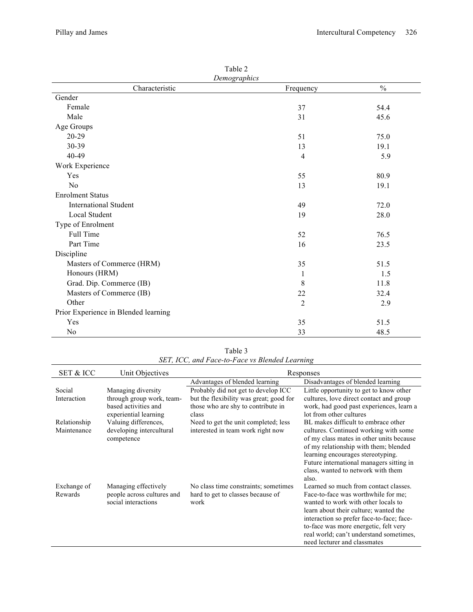| Demographics                         |                |               |  |  |  |
|--------------------------------------|----------------|---------------|--|--|--|
| Characteristic                       | Frequency      | $\frac{0}{0}$ |  |  |  |
| Gender                               |                |               |  |  |  |
| Female                               | 37             | 54.4          |  |  |  |
| Male                                 | 31             | 45.6          |  |  |  |
| Age Groups                           |                |               |  |  |  |
| 20-29                                | 51             | 75.0          |  |  |  |
| 30-39                                | 13             | 19.1          |  |  |  |
| 40-49                                | $\overline{4}$ | 5.9           |  |  |  |
| Work Experience                      |                |               |  |  |  |
| Yes                                  | 55             | 80.9          |  |  |  |
| No                                   | 13             | 19.1          |  |  |  |
| <b>Enrolment Status</b>              |                |               |  |  |  |
| <b>International Student</b>         | 49             | 72.0          |  |  |  |
| Local Student                        | 19             | 28.0          |  |  |  |
| Type of Enrolment                    |                |               |  |  |  |
| Full Time                            | 52             | 76.5          |  |  |  |
| Part Time                            | 16             | 23.5          |  |  |  |
| Discipline                           |                |               |  |  |  |
| Masters of Commerce (HRM)            | 35             | 51.5          |  |  |  |
| Honours (HRM)                        | 1              | 1.5           |  |  |  |
| Grad. Dip. Commerce (IB)             | 8              | 11.8          |  |  |  |
| Masters of Commerce (IB)             | 22             | 32.4          |  |  |  |
| Other                                | $\overline{2}$ | 2.9           |  |  |  |
| Prior Experience in Blended learning |                |               |  |  |  |
| Yes                                  | 35             | 51.5          |  |  |  |
| $\rm No$                             | 33             | 48.5          |  |  |  |

| Table 3                                        |  |
|------------------------------------------------|--|
| SET, ICC, and Face-to-Face vs Blended Learning |  |

| <b>SET &amp; ICC</b>        | Unit Objectives                                                                                  | Responses                                                                                                                     |                                                                                                                                                                                                                                                                                                                               |  |
|-----------------------------|--------------------------------------------------------------------------------------------------|-------------------------------------------------------------------------------------------------------------------------------|-------------------------------------------------------------------------------------------------------------------------------------------------------------------------------------------------------------------------------------------------------------------------------------------------------------------------------|--|
|                             |                                                                                                  | Advantages of blended learning                                                                                                | Disadvantages of blended learning                                                                                                                                                                                                                                                                                             |  |
| Social<br>Interaction       | Managing diversity<br>through group work, team-<br>based activities and<br>experiential learning | Probably did not get to develop ICC<br>but the flexibility was great; good for<br>those who are shy to contribute in<br>class | Little opportunity to get to know other<br>cultures, love direct contact and group<br>work, had good past experiences, learn a<br>lot from other cultures                                                                                                                                                                     |  |
| Relationship<br>Maintenance | Valuing differences,<br>developing intercultural<br>competence                                   | Need to get the unit completed; less<br>interested in team work right now                                                     | BL makes difficult to embrace other<br>cultures. Continued working with some<br>of my class mates in other units because<br>of my relationship with them; blended<br>learning encourages stereotyping.<br>Future international managers sitting in<br>class, wanted to network with them<br>also.                             |  |
| Exchange of<br>Rewards      | Managing effectively<br>people across cultures and<br>social interactions                        | No class time constraints; sometimes<br>hard to get to classes because of<br>work                                             | Learned so much from contact classes.<br>Face-to-face was worthwhile for me;<br>wanted to work with other locals to<br>learn about their culture; wanted the<br>interaction so prefer face-to-face; face-<br>to-face was more energetic, felt very<br>real world; can't understand sometimes,<br>need lecturer and classmates |  |

| Table 2      |  |
|--------------|--|
| Demographics |  |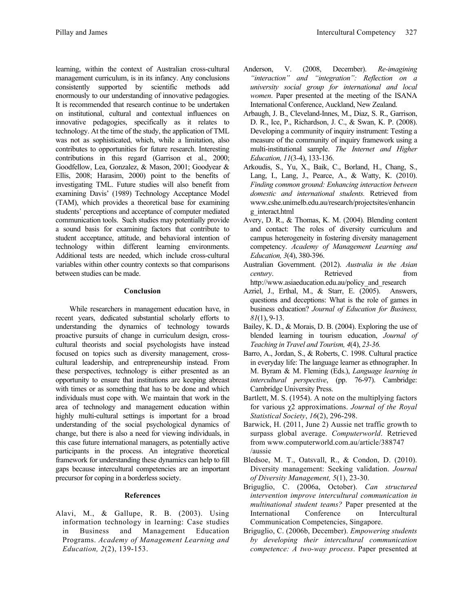learning, within the context of Australian cross-cultural management curriculum, is in its infancy. Any conclusions consistently supported by scientific methods add enormously to our understanding of innovative pedagogies. It is recommended that research continue to be undertaken on institutional, cultural and contextual influences on innovative pedagogies, specifically as it relates to technology. At the time of the study, the application of TML was not as sophisticated, which, while a limitation, also contributes to opportunities for future research. Interesting contributions in this regard (Garrison et al., 2000; Goodfellow, Lea, Gonzalez, & Mason, 2001; Goodyear & Ellis, 2008; Harasim, 2000) point to the benefits of investigating TML. Future studies will also benefit from examining Davis' (1989) Technology Acceptance Model (TAM), which provides a theoretical base for examining students' perceptions and acceptance of computer mediated communication tools. Such studies may potentially provide a sound basis for examining factors that contribute to student acceptance, attitude, and behavioral intention of technology within different learning environments. Additional tests are needed, which include cross-cultural variables within other country contexts so that comparisons between studies can be made.

#### **Conclusion**

While researchers in management education have, in recent years, dedicated substantial scholarly efforts to understanding the dynamics of technology towards proactive pursuits of change in curriculum design, crosscultural theorists and social psychologists have instead focused on topics such as diversity management, crosscultural leadership, and entrepreneurship instead. From these perspectives, technology is either presented as an opportunity to ensure that institutions are keeping abreast with times or as something that has to be done and which individuals must cope with. We maintain that work in the area of technology and management education within highly multi-cultural settings is important for a broad understanding of the social psychological dynamics of change, but there is also a need for viewing individuals, in this case future international managers, as potentially active participants in the process. An integrative theoretical framework for understanding these dynamics can help to fill gaps because intercultural competencies are an important precursor for coping in a borderless society.

## **References**

Alavi, M., & Gallupe, R. B. (2003). Using information technology in learning: Case studies in Business and Management Education Programs. *Academy of Management Learning and Education, 2*(2), 139-153.

- Anderson, V. (2008, December). *Re-imagining "interaction" and "integration": Reflection on a university social group for international and local women*. Paper presented at the meeting of the ISANA International Conference, Auckland, New Zealand.
- Arbaugh, J. B., Cleveland-Innes, M., Diaz, S. R., Garrison, D. R., Ice, P., Richardson, J. C., & Swan, K. P. (2008). Developing a community of inquiry instrument: Testing a measure of the community of inquiry framework using a multi-institutional sample. *The Internet and Higher Education, 11*(3-4), 133-136.
- Arkoudis, S., Yu, X., Baik, C., Borland, H., Chang, S., Lang, I., Lang, J., Pearce, A., & Watty, K. (2010). *Finding common ground: Enhancing interaction between domestic and international students.* Retrieved from www.cshe.unimelb.edu.au/research/projectsites/enhancin g\_interact.html
- Avery, D. R., & Thomas, K. M. (2004). Blending content and contact: The roles of diversity curriculum and campus heterogeneity in fostering diversity management competency. *Academy of Management Learning and Education, 3*(4), 380-396.
- Australian Government. (2012). *Australia in the Asian century*. Retrieved from http://www.asiaeducation.edu.au/policy\_and\_research
- Azriel, J., Erthal, M., & Starr, E. (2005). Answers, questions and deceptions: What is the role of games in business education? *Journal of Education for Business, 81*(1), 9-13.
- Bailey, K. D., & Morais, D. B. (2004). Exploring the use of blended learning in tourism education, *Journal of Teaching in Travel and Tourism, 4*(4), *23-36.*
- Barro, A., Jordan, S., & Roberts, C. 1998. Cultural practice in everyday life: The language learner as ethnographer. In M. Byram & M. Fleming (Eds.), *Language learning in intercultural perspective*, (pp. 76-97). Cambridge: Cambridge University Press.
- Bartlett, M. S. (1954). A note on the multiplying factors for various χ2 approximations. *Journal of the Royal Statistical Society*, *16*(2), 296-298.
- Barwick, H. (2011, June 2) Aussie net traffic growth to surpass global average. *Computerworld*. Retrieved from www.computerworld.com.au/article/388747 /aussie
- Bledsoe, M. T., Oatsvall, R., & Condon, D. (2010). Diversity management: Seeking validation. *Journal of Diversity Management, 5*(1), 23-30.
- Briguglio, C. (2006a, October). *Can structured intervention improve intercultural communication in multinational student teams?* Paper presented at the International Conference on Intercultural Communication Competencies, Singapore.
- Briguglio, C. (2006b, December). *Empowering students by developing their intercultural communication competence: A two-way process*. Paper presented at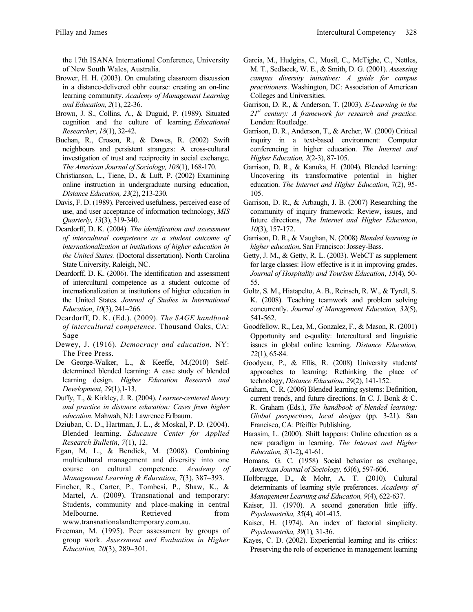the 17th ISANA International Conference, University of New South Wales, Australia.

- Brower, H. H. (2003). On emulating classroom discussion in a distance-delivered obhr course: creating an on-line learning community. *Academy of Management Learning and Education, 2*(1), 22-36.
- Brown, J. S., Collins, A., & Duguid, P. (1989). Situated cognition and the culture of learning. *Educational Researcher*, *18*(1), 32-42.
- Buchan, R., Croson, R., & Dawes, R. (2002) Swift neighbours and persistent strangers: A cross-cultural investigation of trust and reciprocity in social exchange. *The American Journal of Sociology, 108*(1), 168-170.
- Christianson, L., Tiene, D., & Luft, P. (2002) Examining online instruction in undergraduate nursing education, *Distance Education, 23*(2), 213-230*.*
- Davis, F. D. (1989). Perceived usefulness, perceived ease of use, and user acceptance of information technology, *MIS Quarterly, 13*(3), 319-340.
- Deardorff, D. K. (2004). *The identification and assessment of intercultural competence as a student outcome of internationalization at institutions of higher education in the United States.* (Doctoral dissertation). North Carolina State University, Raleigh, NC.
- Deardorff, D. K. (2006). The identification and assessment of intercultural competence as a student outcome of internationalization at institutions of higher education in the United States. *Journal of Studies in International Education*, *10*(3), 241–266.
- Deardorff, D. K. (Ed.). (2009). *The SAGE handbook of intercultural competence*. Thousand Oaks, CA: Sage
- Dewey, J. (1916). *Democracy and education*, NY: The Free Press.
- De George-Walker, L., & Keeffe, M.(2010) Selfdetermined blended learning: A case study of blended learning design. *Higher Education Research and Development*, *29*(1),1-13.
- Duffy, T., & Kirkley, J. R. (2004). *Learner-centered theory and practice in distance education: Cases from higher education*. Mahwah, NJ: Lawrence Erlbaum.
- Dziuban, C. D., Hartman, J. L., & Moskal, P. D. (2004). Blended learning. *Educause Center for Applied Research Bulletin*, *7*(1), 12.
- Egan, M. L., & Bendick, M. (2008). Combining multicultural management and diversity into one course on cultural competence. *Academy of Management Learning & Education*, *7*(3), 387–393.
- Fincher, R., Carter, P., Tombesi, P., Shaw, K., & Martel, A. (2009). Transnational and temporary: Students, community and place-making in central Melbourne. Retrieved from www.transnationalandtemporary.com.au.
- Freeman, M. (1995). Peer assessment by groups of group work. *Assessment and Evaluation in Higher Education, 20*(3), 289–301.
- Garcia, M., Hudgins, C., Musil, C., McTighe, C., Nettles, M. T., Sedlacek, W. E., & Smith, D. G. (2001). *Assessing campus diversity initiatives: A guide for campus practitioners*. Washington, DC: Association of American Colleges and Universities.
- Garrison, D. R., & Anderson, T. (2003). *E-Learning in the 21st century: A framework for research and practice.* London: Routledge.
- Garrison, D. R., Anderson, T., & Archer, W. (2000) Critical inquiry in a text-based environment: Computer conferencing in higher education. *The Internet and Higher Education, 2*(2-3), 87-105.
- Garrison, D. R., & Kanuka, H. (2004). Blended learning: Uncovering its transformative potential in higher education. *The Internet and Higher Education*, 7(2), 95- 105.
- Garrison, D. R., & Arbaugh, J. B. (2007) Researching the community of inquiry framework: Review, issues, and future directions, *The Internet and Higher Education*, *10*(3), 157-172.
- Garrison, D. R., & Vaughan, N. (2008) *Blended learning in higher education***.** San Francisco: Jossey-Bass.
- Getty, J. M., & Getty, R. L. (2003). WebCT as supplement for large classes: How effective is it in improving grades. *Journal of Hospitality and Tourism Education*, *15*(4), 50- 55.
- Goltz, S. M., Hiatapelto, A. B., Reinsch, R. W., & Tyrell, S. K. (2008). Teaching teamwork and problem solving concurrently. *Journal of Management Education, 32*(5), 541-562.
- Goodfellow, R., Lea, M., Gonzalez, F., & Mason, R. (2001) Opportunity and e-quality: Intercultural and linguistic issues in global online learning. *Distance Education, 22*(1), 65-84.
- Goodyear, P., & Ellis, R. (2008) University students' approaches to learning: Rethinking the place of technology, *Distance Education*, *29*(2), 141-152.
- Graham, C. R. (2006) Blended learning systems: Definition, current trends, and future directions. In C. J. Bonk & C. R. Graham (Eds.), *The handbook of blended learning: Global perspectives*, *local designs* (pp. 3-21). San Francisco, CA: Pfeiffer Publishing.
- Harasim, L. (2000). Shift happens: Online education as a new paradigm in learning. *The Internet and Higher Education, 3*(1-2)**,** 41-61.
- Homans, G. C. (1958) Social behavior as exchange, *American Journal of Sociology, 63*(6), 597-606.
- Holtbrugge, D., & Mohr, A. T. (2010). Cultural determinants of learning style preferences. *Academy of Management Learning and Education, 9*(4), 622-637.
- Kaiser, H. (1970). A second generation little jiffy. *Psychometrika, 35*(4)*,* 401-415.
- Kaiser, H. (1974). An index of factorial simplicity. *Psychometrika, 39*(1)*,* 31-36.
- Kayes, C. D. (2002). Experiential learning and its critics: Preserving the role of experience in management learning